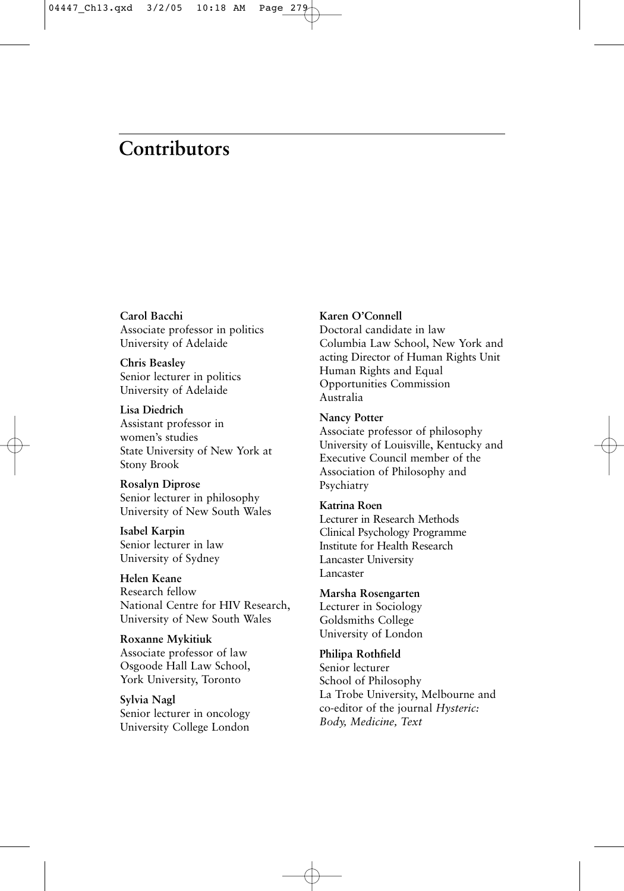# **[Contributors](#page--1-0)**

**Carol Bacchi** Associate professor in politics University of Adelaide

**Chris Beasley** Senior lecturer in politics University of Adelaide

**Lisa Diedrich** Assistant professor in women's studies State University of New York at Stony Brook

**Rosalyn Diprose** Senior lecturer in philosophy University of New South Wales

**Isabel Karpin** Senior lecturer in law University of Sydney

**Helen Keane** Research fellow National Centre for HIV Research, University of New South Wales

**Roxanne Mykitiuk** Associate professor of law Osgoode Hall Law School, York University, Toronto

**Sylvia Nagl** Senior lecturer in oncology University College London

#### **Karen O'Connell**

Doctoral candidate in law Columbia Law School, New York and acting Director of Human Rights Unit Human Rights and Equal Opportunities Commission Australia

**Nancy Potter**

Associate professor of philosophy University of Louisville, Kentucky and Executive Council member of the Association of Philosophy and Psychiatry

#### **Katrina Roen**

Lecturer in Research Methods Clinical Psychology Programme Institute for Health Research Lancaster University Lancaster

**Marsha Rosengarten**

Lecturer in Sociology Goldsmiths College University of London

**Philipa Rothfield** Senior lecturer School of Philosophy La Trobe University, Melbourne and co-editor of the journal *Hysteric: Body, Medicine, Text*